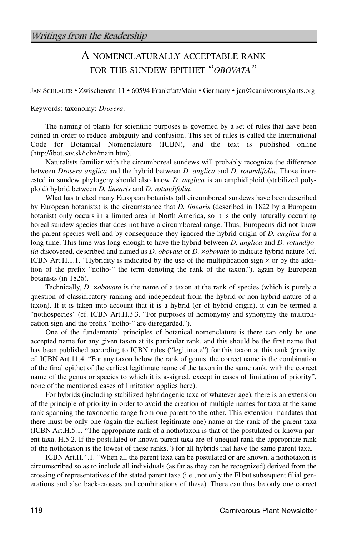## A NOMENCLATURALLY ACCEPTABLE RANK FOR THE SUNDEW EPITHET "*OBOVATA"*

JAN SCHLAUER • Zwischenstr. 11 • 60594 Frankfurt/Main • Germany • jan@carnivorousplants.org

Keywords: taxonomy: *Drosera*.

The naming of plants for scientific purposes is governed by a set of rules that have been coined in order to reduce ambiguity and confusion. This set of rules is called the International Code for Botanical Nomenclature (ICBN), and the text is published online (http://ibot.sav.sk/icbn/main.htm).

Naturalists familiar with the circumboreal sundews will probably recognize the difference between *Drosera anglica* and the hybrid between *D. anglica* and *D. rotundifolia*. Those interested in sundew phylogeny should also know *D. anglica* is an amphidiploid (stabilized polyploid) hybrid between *D. linearis* and *D. rotundifolia*.

What has tricked many European botanists (all circumboreal sundews have been described by European botanists) is the circumstance that *D. linearis* (described in 1822 by a European botanist) only occurs in a limited area in North America, so it is the only naturally occurring boreal sundew species that does not have a circumboreal range. Thus, Europeans did not know the parent species well and by consequence they ignored the hybrid origin of *D. anglica* for a long time. This time was long enough to have the hybrid between *D. anglica* and *D. rotundifolia* discovered, described and named as *D. obovata* or *D.* ×*obovata* to indicate hybrid nature (cf. ICBN Art.H.1.1. "Hybridity is indicated by the use of the multiplication sign  $\times$  or by the addition of the prefix "notho-" the term denoting the rank of the taxon."), again by European botanists (in 1826).

Technically, *D*. ×*obovata* is the name of a taxon at the rank of species (which is purely a question of classificatory ranking and independent from the hybrid or non-hybrid nature of a taxon). If it is taken into account that it is a hybrid (or of hybrid origin), it can be termed a "nothospecies" (cf. ICBN Art.H.3.3. "For purposes of homonymy and synonymy the multiplication sign and the prefix "notho-" are disregarded.").

One of the fundamental principles of botanical nomenclature is there can only be one accepted name for any given taxon at its particular rank, and this should be the first name that has been published according to ICBN rules ("legitimate") for this taxon at this rank (priority, cf. ICBN Art.11.4. "For any taxon below the rank of genus, the correct name is the combination of the final epithet of the earliest legitimate name of the taxon in the same rank, with the correct name of the genus or species to which it is assigned, except in cases of limitation of priority", none of the mentioned cases of limitation applies here).

For hybrids (including stabilized hybridogenic taxa of whatever age), there is an extension of the principle of priority in order to avoid the creation of multiple names for taxa at the same rank spanning the taxonomic range from one parent to the other. This extension mandates that there must be only one (again the earliest legitimate one) name at the rank of the parent taxa (ICBN Art.H.5.1. "The appropriate rank of a nothotaxon is that of the postulated or known parent taxa. H.5.2. If the postulated or known parent taxa are of unequal rank the appropriate rank of the nothotaxon is the lowest of these ranks.") for all hybrids that have the same parent taxa.

ICBN Art.H.4.1. "When all the parent taxa can be postulated or are known, a nothotaxon is circumscribed so as to include all individuals (as far as they can be recognized) derived from the crossing of representatives of the stated parent taxa (i.e., not only the Fl but subsequent filial generations and also back-crosses and combinations of these). There can thus be only one correct